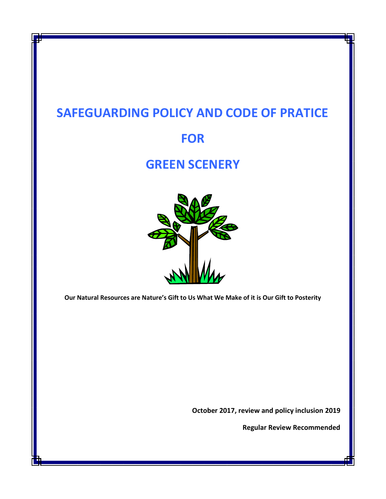# **SAFEGUARDING POLICY AND CODE OF PRATICE**

# **FOR**

# **GREEN SCENERY**



**Our Natural Resources are Nature's Gift to Us What We Make of it is Our Gift to Posterity**

**October 2017, review and policy inclusion 2019**

**Regular Review Recommended**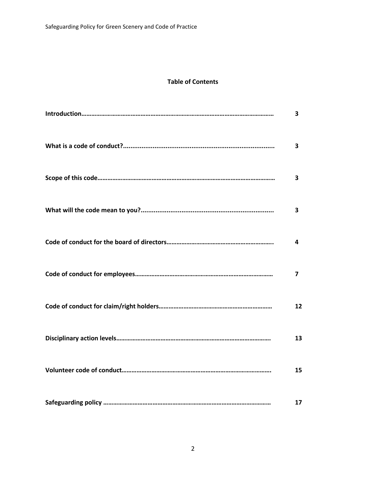### **Table of Contents**

| 3                       |
|-------------------------|
| $\overline{\mathbf{3}}$ |
| 3                       |
| $\overline{\mathbf{3}}$ |
| 4                       |
| 7                       |
| 12                      |
| 13                      |
| 15                      |
| 17                      |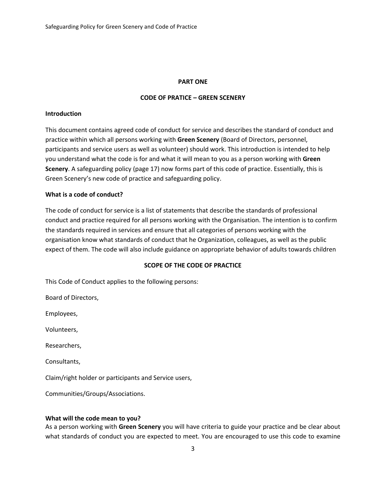#### **PART ONE**

#### **CODE OF PRATICE – GREEN SCENERY**

#### **Introduction**

This document contains agreed code of conduct for service and describes the standard of conduct and practice within which all persons working with **Green Scenery** (Board of Directors, personnel, participants and service users as well as volunteer) should work. This introduction is intended to help you understand what the code is for and what it will mean to you as a person working with **Green Scenery**. A safeguarding policy (page 17) now forms part of this code of practice. Essentially, this is Green Scenery's new code of practice and safeguarding policy.

#### **What is a code of conduct?**

The code of conduct for service is a list of statements that describe the standards of professional conduct and practice required for all persons working with the Organisation. The intention is to confirm the standards required in services and ensure that all categories of persons working with the organisation know what standards of conduct that he Organization, colleagues, as well as the public expect of them. The code will also include guidance on appropriate behavior of adults towards children

#### **SCOPE OF THE CODE OF PRACTICE**

This Code of Conduct applies to the following persons:

Board of Directors,

Employees,

Volunteers,

Researchers,

Consultants,

Claim/right holder or participants and Service users,

Communities/Groups/Associations.

#### **What will the code mean to you?**

As a person working with **Green Scenery** you will have criteria to guide your practice and be clear about what standards of conduct you are expected to meet. You are encouraged to use this code to examine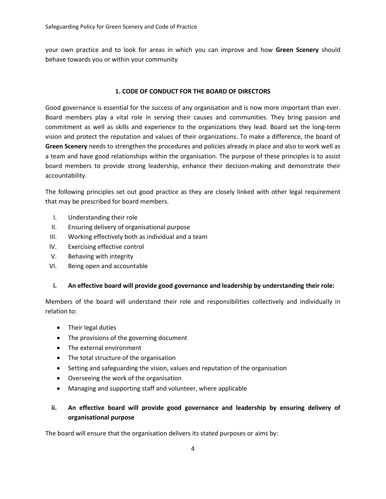your own practice and to look for areas in which you can improve and how **Green Scenery** should behave towards you or within your community

#### **1. CODE OF CONDUCT FOR THE BOARD OF DIRECTORS**

Good governance is essential for the success of any organisation and is now more important than ever. Board members play a vital role in serving their causes and communities. They bring passion and commitment as well as skills and experience to the organizations they lead. Board set the long-term vision and protect the reputation and values of their organizations. To make a difference, the board of **Green Scenery** needs to strengthen the procedures and policies already in place and also to work well as a team and have good relationships within the organisation. The purpose of these principles is to assist board members to provide strong leadership, enhance their decision-making and demonstrate their accountability.

The following principles set out good practice as they are closely linked with other legal requirement that may be prescribed for board members.

- I. Understanding their role
- II. Ensuring delivery of organisational purpose
- III. Working effectively both as individual and a team
- IV. Exercising effective control
- V. Behaving with integrity
- VI. Being open and accountable

#### **i. An effective board will provide good governance and leadership by understanding their role:**

Members of the board will understand their role and responsibilities collectively and individually in relation to:

- Their legal duties
- The provisions of the governing document
- The external environment
- The total structure of the organisation
- Setting and safeguarding the vision, values and reputation of the organisation
- Overseeing the work of the organisation
- Managing and supporting staff and volunteer, where applicable

# **ii. An effective board will provide good governance and leadership by ensuring delivery of organisational purpose**

The board will ensure that the organisation delivers its stated purposes or aims by: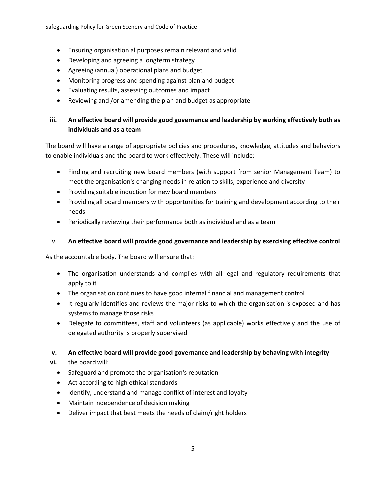- Ensuring organisation al purposes remain relevant and valid
- Developing and agreeing a longterm strategy
- Agreeing (annual) operational plans and budget
- Monitoring progress and spending against plan and budget
- Evaluating results, assessing outcomes and impact
- Reviewing and /or amending the plan and budget as appropriate

# **iii. An effective board will provide good governance and leadership by working effectively both as individuals and as a team**

The board will have a range of appropriate policies and procedures, knowledge, attitudes and behaviors to enable individuals and the board to work effectively. These will include:

- Finding and recruiting new board members (with support from senior Management Team) to meet the organisation's changing needs in relation to skills, experience and diversity
- Providing suitable induction for new board members
- Providing all board members with opportunities for training and development according to their needs
- Periodically reviewing their performance both as individual and as a team

### iv. **An effective board will provide good governance and leadership by exercising effective control**

As the accountable body. The board will ensure that:

- The organisation understands and complies with all legal and regulatory requirements that apply to it
- The organisation continues to have good internal financial and management control
- It regularly identifies and reviews the major risks to which the organisation is exposed and has systems to manage those risks
- Delegate to committees, staff and volunteers (as applicable) works effectively and the use of delegated authority is properly supervised

### **v. An effective board will provide good governance and leadership by behaving with integrity**

- **vi.** the board will:
	- Safeguard and promote the organisation's reputation
	- Act according to high ethical standards
	- Identify, understand and manage conflict of interest and loyalty
	- Maintain independence of decision making
	- Deliver impact that best meets the needs of claim/right holders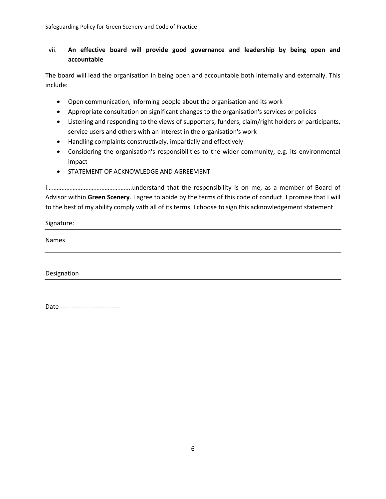# vii. **An effective board will provide good governance and leadership by being open and accountable**

The board will lead the organisation in being open and accountable both internally and externally. This include:

- Open communication, informing people about the organisation and its work
- Appropriate consultation on significant changes to the organisation's services or policies
- Listening and responding to the views of supporters, funders, claim/right holders or participants, service users and others with an interest in the organisation's work
- Handling complaints constructively, impartially and effectively
- Considering the organisation's responsibilities to the wider community, e.g. its environmental impact
- STATEMENT OF ACKNOWLEDGE AND AGREEMENT

I……………………………………………..understand that the responsibility is on me, as a member of Board of Advisor within **Green Scenery**. I agree to abide by the terms of this code of conduct. I promise that I will to the best of my ability comply with all of its terms. I choose to sign this acknowledgement statement

Signature:

Names

Designation

Date-----------------------------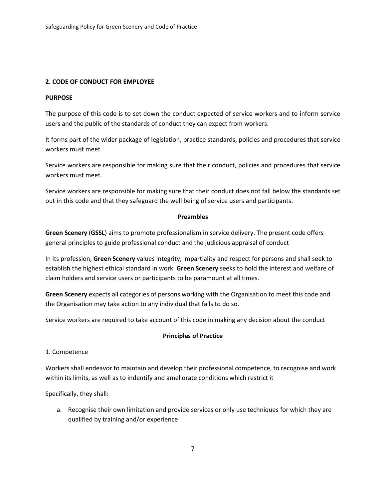#### **2. CODE OF CONDUCT FOR EMPLOYEE**

#### **PURPOSE**

The purpose of this code is to set down the conduct expected of service workers and to inform service users and the public of the standards of conduct they can expect from workers.

It forms part of the wider package of legislation, practice standards, policies and procedures that service workers must meet

Service workers are responsible for making sure that their conduct, policies and procedures that service workers must meet.

Service workers are responsible for making sure that their conduct does not fall below the standards set out in this code and that they safeguard the well being of service users and participants.

#### **Preambles**

**Green Scenery** (**GSSL**) aims to promote professionalism in service delivery. The present code offers general principles to guide professional conduct and the judicious appraisal of conduct

In its profession, **Green Scenery** values integrity, impartiality and respect for persons and shall seek to establish the highest ethical standard in work. **Green Scenery** seeks to hold the interest and welfare of claim holders and service users or participants to be paramount at all times.

**Green Scenery** expects all categories of persons working with the Organisation to meet this code and the Organisation may take action to any individual that fails to do so.

Service workers are required to take account of this code in making any decision about the conduct

#### **Principles of Practice**

#### 1. Competence

Workers shall endeavor to maintain and develop their professional competence, to recognise and work within its limits, as well as to indentify and ameliorate conditions which restrict it

Specifically, they shall:

a. Recognise their own limitation and provide services or only use techniques for which they are qualified by training and/or experience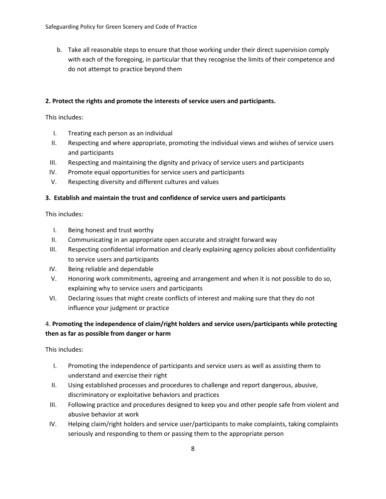b. Take all reasonable steps to ensure that those working under their direct supervision comply with each of the foregoing, in particular that they recognise the limits of their competence and do not attempt to practice beyond them

#### **2. Protect the rights and promote the interests of service users and participants.**

This includes:

- I. Treating each person as an individual
- II. Respecting and where appropriate, promoting the individual views and wishes of service users and participants
- III. Respecting and maintaining the dignity and privacy of service users and participants
- IV. Promote equal opportunities for service users and participants
- V. Respecting diversity and different cultures and values

#### **3. Establish and maintain the trust and confidence of service users and participants**

This includes:

- I. Being honest and trust worthy
- II. Communicating in an appropriate open accurate and straight forward way
- III. Respecting confidential information and clearly explaining agency policies about confidentiality to service users and participants
- IV. Being reliable and dependable
- V. Honoring work commitments, agreeing and arrangement and when it is not possible to do so, explaining why to service users and participants
- VI. Declaring issues that might create conflicts of interest and making sure that they do not influence your judgment or practice

### 4. **Promoting the independence of claim/right holders and service users/participants while protecting then as far as possible from danger or harm**

This includes:

- I. Promoting the independence of participants and service users as well as assisting them to understand and exercise their right
- II. Using established processes and procedures to challenge and report dangerous, abusive, discriminatory or exploitative behaviors and practices
- III. Following practice and procedures designed to keep you and other people safe from violent and abusive behavior at work
- IV. Helping claim/right holders and service user/participants to make complaints, taking complaints seriously and responding to them or passing them to the appropriate person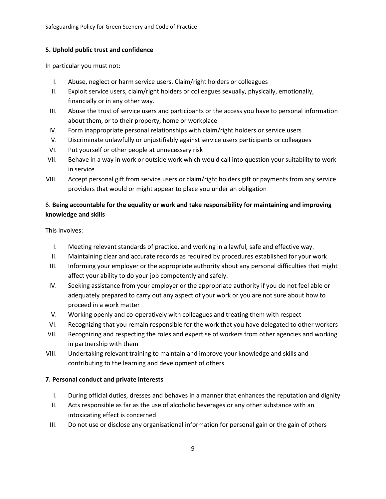#### **5. Uphold public trust and confidence**

In particular you must not:

- I. Abuse, neglect or harm service users. Claim/right holders or colleagues
- II. Exploit service users, claim/right holders or colleagues sexually, physically, emotionally, financially or in any other way.
- III. Abuse the trust of service users and participants or the access you have to personal information about them, or to their property, home or workplace
- IV. Form inappropriate personal relationships with claim/right holders or service users
- V. Discriminate unlawfully or unjustifiably against service users participants or colleagues
- VI. Put yourself or other people at unnecessary risk
- VII. Behave in a way in work or outside work which would call into question your suitability to work in service
- VIII. Accept personal gift from service users or claim/right holders gift or payments from any service providers that would or might appear to place you under an obligation

### 6. **Being accountable for the equality or work and take responsibility for maintaining and improving knowledge and skills**

This involves:

- I. Meeting relevant standards of practice, and working in a lawful, safe and effective way.
- II. Maintaining clear and accurate records as required by procedures established for your work
- III. Informing your employer or the appropriate authority about any personal difficulties that might affect your ability to do your job competently and safely.
- IV. Seeking assistance from your employer or the appropriate authority if you do not feel able or adequately prepared to carry out any aspect of your work or you are not sure about how to proceed in a work matter
- V. Working openly and co-operatively with colleagues and treating them with respect
- VI. Recognizing that you remain responsible for the work that you have delegated to other workers
- VII. Recognizing and respecting the roles and expertise of workers from other agencies and working in partnership with them
- VIII. Undertaking relevant training to maintain and improve your knowledge and skills and contributing to the learning and development of others

#### **7. Personal conduct and private interests**

- I. During official duties, dresses and behaves in a manner that enhances the reputation and dignity
- II. Acts responsible as far as the use of alcoholic beverages or any other substance with an intoxicating effect is concerned
- III. Do not use or disclose any organisational information for personal gain or the gain of others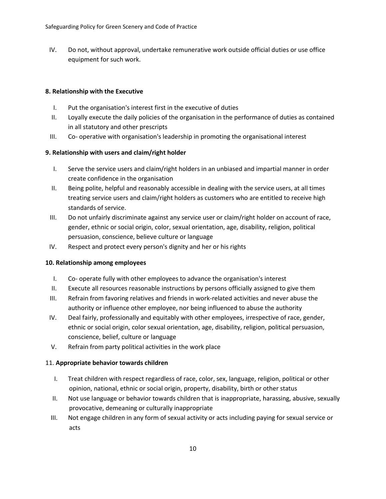IV. Do not, without approval, undertake remunerative work outside official duties or use office equipment for such work.

#### **8. Relationship with the Executive**

- I. Put the organisation's interest first in the executive of duties
- II. Loyally execute the daily policies of the organisation in the performance of duties as contained in all statutory and other prescripts
- III. Co- operative with organisation's leadership in promoting the organisational interest

#### **9. Relationship with users and claim/right holder**

- I. Serve the service users and claim/right holders in an unbiased and impartial manner in order create confidence in the organisation
- II. Being polite, helpful and reasonably accessible in dealing with the service users, at all times treating service users and claim/right holders as customers who are entitled to receive high standards of service.
- III. Do not unfairly discriminate against any service user or claim/right holder on account of race, gender, ethnic or social origin, color, sexual orientation, age, disability, religion, political persuasion, conscience, believe culture or language
- IV. Respect and protect every person's dignity and her or his rights

#### **10. Relationship among employees**

- I. Co- operate fully with other employees to advance the organisation's interest
- II. Execute all resources reasonable instructions by persons officially assigned to give them
- III. Refrain from favoring relatives and friends in work-related activities and never abuse the authority or influence other employee, nor being influenced to abuse the authority
- IV. Deal fairly, professionally and equitably with other employees, irrespective of race, gender, ethnic or social origin, color sexual orientation, age, disability, religion, political persuasion, conscience, belief, culture or language
- V. Refrain from party political activities in the work place

#### 11. **Appropriate behavior towards children**

- I. Treat children with respect regardless of race, color, sex, language, religion, political or other opinion, national, ethnic or social origin, property, disability, birth or other status
- II. Not use language or behavior towards children that is inappropriate, harassing, abusive, sexually provocative, demeaning or culturally inappropriate
- III. Not engage children in any form of sexual activity or acts including paying for sexual service or acts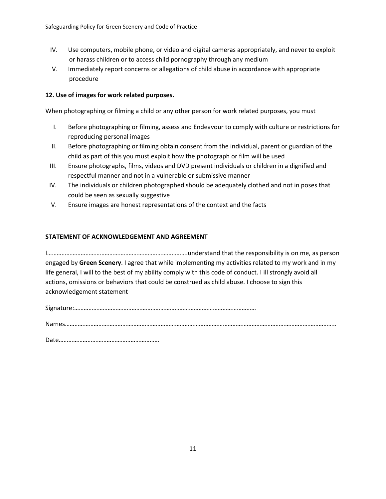- IV. Use computers, mobile phone, or video and digital cameras appropriately, and never to exploit or harass children or to access child pornography through any medium
- V. Immediately report concerns or allegations of child abuse in accordance with appropriate procedure

#### **12. Use of images for work related purposes.**

When photographing or filming a child or any other person for work related purposes, you must

- I. Before photographing or filming, assess and Endeavour to comply with culture or restrictions for reproducing personal images
- II. Before photographing or filming obtain consent from the individual, parent or guardian of the child as part of this you must exploit how the photograph or film will be used
- III. Ensure photographs, films, videos and DVD present individuals or children in a dignified and respectful manner and not in a vulnerable or submissive manner
- IV. The individuals or children photographed should be adequately clothed and not in poses that could be seen as sexually suggestive
- V. Ensure images are honest representations of the context and the facts

#### **STATEMENT OF ACKNOWLEDGEMENT AND AGREEMENT**

I…………………………………………………………………………….understand that the responsibility is on me, as person engaged by **Green Scenery**. I agree that while implementing my activities related to my work and in my life general, I will to the best of my ability comply with this code of conduct. I ill strongly avoid all actions, omissions or behaviors that could be construed as child abuse. I choose to sign this acknowledgement statement

Signature:……………………………………………………………………………………………………

Names……………………………………………………………………………………………………………………………………………………..

Date………………………………………………………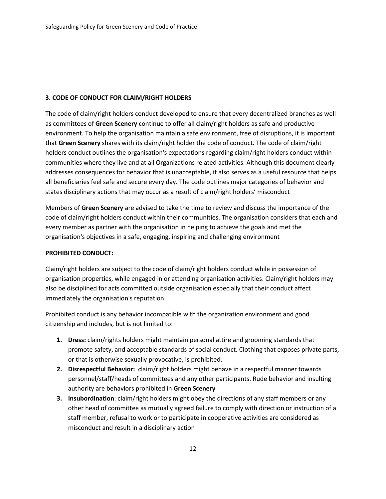#### **3. CODE OF CONDUCT FOR CLAIM/RIGHT HOLDERS**

The code of claim/right holders conduct developed to ensure that every decentralized branches as well as committees of **Green Scenery** continue to offer all claim/right holders as safe and productive environment. To help the organisation maintain a safe environment, free of disruptions, it is important that **Green Scenery** shares with its claim/right holder the code of conduct. The code of claim/right holders conduct outlines the organisation's expectations regarding claim/right holders conduct within communities where they live and at all Organizations related activities. Although this document clearly addresses consequences for behavior that is unacceptable, it also serves as a useful resource that helps all beneficiaries feel safe and secure every day. The code outlines major categories of behavior and states disciplinary actions that may occur as a result of claim/right holders' misconduct

Members of **Green Scenery** are advised to take the time to review and discuss the importance of the code of claim/right holders conduct within their communities. The organisation considers that each and every member as partner with the organisation in helping to achieve the goals and met the organisation's objectives in a safe, engaging, inspiring and challenging environment

#### **PROHIBITED CONDUCT:**

Claim/right holders are subject to the code of claim/right holders conduct while in possession of organisation properties, while engaged in or attending organisation activities. Claim/right holders may also be disciplined for acts committed outside organisation especially that their conduct affect immediately the organisation's reputation

Prohibited conduct is any behavior incompatible with the organization environment and good citizenship and includes, but is not limited to:

- **1. Dress:** claim/rights holders might maintain personal attire and grooming standards that promote safety, and acceptable standards of social conduct. Clothing that exposes private parts, or that is otherwise sexually provocative, is prohibited.
- **2. Disrespectful Behavior:** claim/right holders might behave in a respectful manner towards personnel/staff/heads of committees and any other participants. Rude behavior and insulting authority are behaviors prohibited in **Green Scenery**
- **3. Insubordination**: claim/right holders might obey the directions of any staff members or any other head of committee as mutually agreed failure to comply with direction or instruction of a staff member, refusal to work or to participate in cooperative activities are considered as misconduct and result in a disciplinary action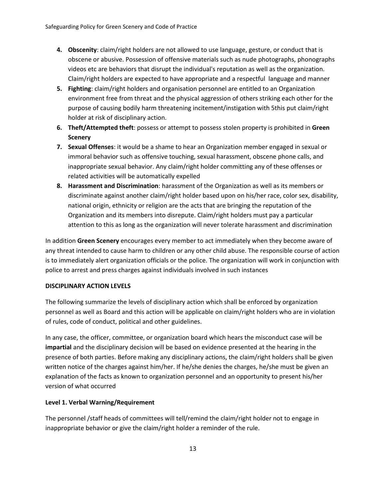- **4. Obscenity**: claim/right holders are not allowed to use language, gesture, or conduct that is obscene or abusive. Possession of offensive materials such as nude photographs, phonographs videos etc are behaviors that disrupt the individual's reputation as well as the organization. Claim/right holders are expected to have appropriate and a respectful language and manner
- **5. Fighting**: claim/right holders and organisation personnel are entitled to an Organization environment free from threat and the physical aggression of others striking each other for the purpose of causing bodily harm threatening incitement/instigation with 5this put claim/right holder at risk of disciplinary action.
- **6. Theft/Attempted theft**: possess or attempt to possess stolen property is prohibited in **Green Scenery**
- **7. Sexual Offenses**: it would be a shame to hear an Organization member engaged in sexual or immoral behavior such as offensive touching, sexual harassment, obscene phone calls, and inappropriate sexual behavior. Any claim/right holder committing any of these offenses or related activities will be automatically expelled
- **8. Harassment and Discrimination**: harassment of the Organization as well as its members or discriminate against another claim/right holder based upon on his/her race, color sex, disability, national origin, ethnicity or religion are the acts that are bringing the reputation of the Organization and its members into disrepute. Claim/right holders must pay a particular attention to this as long as the organization will never tolerate harassment and discrimination

In addition **Green Scenery** encourages every member to act immediately when they become aware of any threat intended to cause harm to children or any other child abuse. The responsible course of action is to immediately alert organization officials or the police. The organization will work in conjunction with police to arrest and press charges against individuals involved in such instances

#### **DISCIPLINARY ACTION LEVELS**

The following summarize the levels of disciplinary action which shall be enforced by organization personnel as well as Board and this action will be applicable on claim/right holders who are in violation of rules, code of conduct, political and other guidelines.

In any case, the officer, committee, or organization board which hears the misconduct case will be **impartial** and the disciplinary decision will be based on evidence presented at the hearing in the presence of both parties. Before making any disciplinary actions, the claim/right holders shall be given written notice of the charges against him/her. If he/she denies the charges, he/she must be given an explanation of the facts as known to organization personnel and an opportunity to present his/her version of what occurred

#### **Level 1. Verbal Warning/Requirement**

The personnel /staff heads of committees will tell/remind the claim/right holder not to engage in inappropriate behavior or give the claim/right holder a reminder of the rule.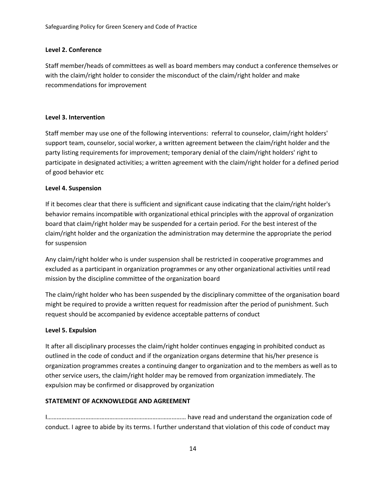#### **Level 2. Conference**

Staff member/heads of committees as well as board members may conduct a conference themselves or with the claim/right holder to consider the misconduct of the claim/right holder and make recommendations for improvement

#### **Level 3. Intervention**

Staff member may use one of the following interventions: referral to counselor, claim/right holders' support team, counselor, social worker, a written agreement between the claim/right holder and the party listing requirements for improvement; temporary denial of the claim/right holders' right to participate in designated activities; a written agreement with the claim/right holder for a defined period of good behavior etc

#### **Level 4. Suspension**

If it becomes clear that there is sufficient and significant cause indicating that the claim/right holder's behavior remains incompatible with organizational ethical principles with the approval of organization board that claim/right holder may be suspended for a certain period. For the best interest of the claim/right holder and the organization the administration may determine the appropriate the period for suspension

Any claim/right holder who is under suspension shall be restricted in cooperative programmes and excluded as a participant in organization programmes or any other organizational activities until read mission by the discipline committee of the organization board

The claim/right holder who has been suspended by the disciplinary committee of the organisation board might be required to provide a written request for readmission after the period of punishment. Such request should be accompanied by evidence acceptable patterns of conduct

#### **Level 5. Expulsion**

It after all disciplinary processes the claim/right holder continues engaging in prohibited conduct as outlined in the code of conduct and if the organization organs determine that his/her presence is organization programmes creates a continuing danger to organization and to the members as well as to other service users, the claim/right holder may be removed from organization immediately. The expulsion may be confirmed or disapproved by organization

#### **STATEMENT OF ACKNOWLEDGE AND AGREEMENT**

I…………………………………………………………………………… have read and understand the organization code of conduct. I agree to abide by its terms. I further understand that violation of this code of conduct may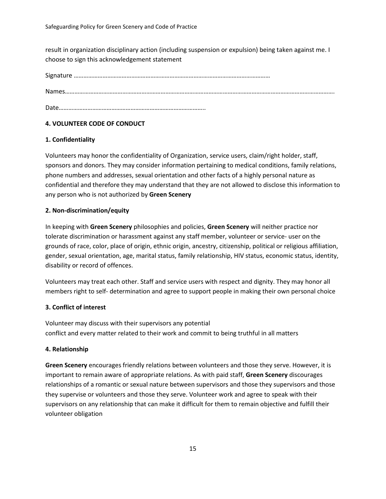result in organization disciplinary action (including suspension or expulsion) being taken against me. I choose to sign this acknowledgement statement

Signature ……………………………………………………………………………………………………………

Names…………………………………………………………………………………………………………………………………………………….

Date………………………………………………………………………………..

#### **4. VOLUNTEER CODE OF CONDUCT**

#### **1. Confidentiality**

Volunteers may honor the confidentiality of Organization, service users, claim/right holder, staff, sponsors and donors. They may consider information pertaining to medical conditions, family relations, phone numbers and addresses, sexual orientation and other facts of a highly personal nature as confidential and therefore they may understand that they are not allowed to disclose this information to any person who is not authorized by **Green Scenery**

#### **2. Non-discrimination/equity**

In keeping with **Green Scenery** philosophies and policies, **Green Scenery** will neither practice nor tolerate discrimination or harassment against any staff member, volunteer or service- user on the grounds of race, color, place of origin, ethnic origin, ancestry, citizenship, political or religious affiliation, gender, sexual orientation, age, marital status, family relationship, HIV status, economic status, identity, disability or record of offences.

Volunteers may treat each other. Staff and service users with respect and dignity. They may honor all members right to self- determination and agree to support people in making their own personal choice

#### **3. Conflict of interest**

Volunteer may discuss with their supervisors any potential conflict and every matter related to their work and commit to being truthful in all matters

#### **4. Relationship**

**Green Scenery** encourages friendly relations between volunteers and those they serve. However, it is important to remain aware of appropriate relations. As with paid staff, **Green Scenery** discourages relationships of a romantic or sexual nature between supervisors and those they supervisors and those they supervise or volunteers and those they serve. Volunteer work and agree to speak with their supervisors on any relationship that can make it difficult for them to remain objective and fulfill their volunteer obligation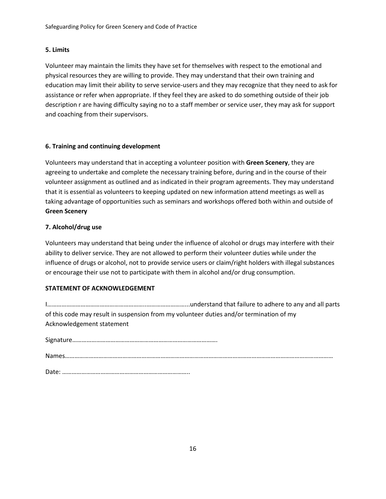#### **5. Limits**

Volunteer may maintain the limits they have set for themselves with respect to the emotional and physical resources they are willing to provide. They may understand that their own training and education may limit their ability to serve service-users and they may recognize that they need to ask for assistance or refer when appropriate. If they feel they are asked to do something outside of their job description r are having difficulty saying no to a staff member or service user, they may ask for support and coaching from their supervisors.

#### **6. Training and continuing development**

Volunteers may understand that in accepting a volunteer position with **Green Scenery**, they are agreeing to undertake and complete the necessary training before, during and in the course of their volunteer assignment as outlined and as indicated in their program agreements. They may understand that it is essential as volunteers to keeping updated on new information attend meetings as well as taking advantage of opportunities such as seminars and workshops offered both within and outside of **Green Scenery**

#### **7. Alcohol/drug use**

Volunteers may understand that being under the influence of alcohol or drugs may interfere with their ability to deliver service. They are not allowed to perform their volunteer duties while under the influence of drugs or alcohol, not to provide service users or claim/right holders with illegal substances or encourage their use not to participate with them in alcohol and/or drug consumption.

#### **STATEMENT OF ACKNOWLEDGEMENT**

I……………………………………………………..……………………...understand that failure to adhere to any and all parts of this code may result in suspension from my volunteer duties and/or termination of my Acknowledgement statement

Signature……………………………………………………………………………….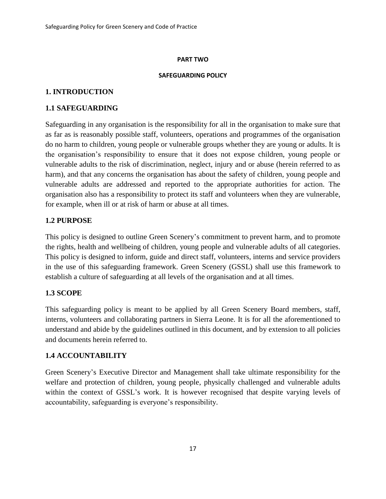#### **PART TWO**

#### **SAFEGUARDING POLICY**

### **1. INTRODUCTION**

### **1.1 SAFEGUARDING**

Safeguarding in any organisation is the responsibility for all in the organisation to make sure that as far as is reasonably possible staff, volunteers, operations and programmes of the organisation do no harm to children, young people or vulnerable groups whether they are young or adults. It is the organisation's responsibility to ensure that it does not expose children, young people or vulnerable adults to the risk of discrimination, neglect, injury and or abuse (herein referred to as harm), and that any concerns the organisation has about the safety of children, young people and vulnerable adults are addressed and reported to the appropriate authorities for action. The organisation also has a responsibility to protect its staff and volunteers when they are vulnerable, for example, when ill or at risk of harm or abuse at all times.

### **1.2 PURPOSE**

This policy is designed to outline Green Scenery's commitment to prevent harm, and to promote the rights, health and wellbeing of children, young people and vulnerable adults of all categories. This policy is designed to inform, guide and direct staff, volunteers, interns and service providers in the use of this safeguarding framework. Green Scenery (GSSL) shall use this framework to establish a culture of safeguarding at all levels of the organisation and at all times.

### **1.3 SCOPE**

This safeguarding policy is meant to be applied by all Green Scenery Board members, staff, interns, volunteers and collaborating partners in Sierra Leone. It is for all the aforementioned to understand and abide by the guidelines outlined in this document, and by extension to all policies and documents herein referred to.

### **1.4 ACCOUNTABILITY**

Green Scenery's Executive Director and Management shall take ultimate responsibility for the welfare and protection of children, young people, physically challenged and vulnerable adults within the context of GSSL's work. It is however recognised that despite varying levels of accountability, safeguarding is everyone's responsibility.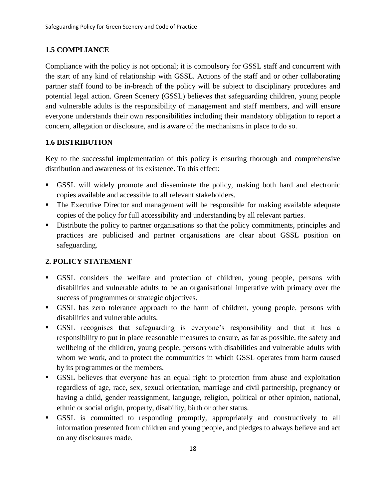# **1.5 COMPLIANCE**

Compliance with the policy is not optional; it is compulsory for GSSL staff and concurrent with the start of any kind of relationship with GSSL. Actions of the staff and or other collaborating partner staff found to be in-breach of the policy will be subject to disciplinary procedures and potential legal action. Green Scenery (GSSL) believes that safeguarding children, young people and vulnerable adults is the responsibility of management and staff members, and will ensure everyone understands their own responsibilities including their mandatory obligation to report a concern, allegation or disclosure, and is aware of the mechanisms in place to do so.

# **1.6 DISTRIBUTION**

Key to the successful implementation of this policy is ensuring thorough and comprehensive distribution and awareness of its existence. To this effect:

- GSSL will widely promote and disseminate the policy, making both hard and electronic copies available and accessible to all relevant stakeholders.
- **•** The Executive Director and management will be responsible for making available adequate copies of the policy for full accessibility and understanding by all relevant parties.
- Distribute the policy to partner organisations so that the policy commitments, principles and practices are publicised and partner organisations are clear about GSSL position on safeguarding.

# **2. POLICY STATEMENT**

- GSSL considers the welfare and protection of children, young people, persons with disabilities and vulnerable adults to be an organisational imperative with primacy over the success of programmes or strategic objectives.
- GSSL has zero tolerance approach to the harm of children, young people, persons with disabilities and vulnerable adults.
- GSSL recognises that safeguarding is everyone's responsibility and that it has a responsibility to put in place reasonable measures to ensure, as far as possible, the safety and wellbeing of the children, young people, persons with disabilities and vulnerable adults with whom we work, and to protect the communities in which GSSL operates from harm caused by its programmes or the members.
- GSSL believes that everyone has an equal right to protection from abuse and exploitation regardless of age, race, sex, sexual orientation, marriage and civil partnership, pregnancy or having a child, gender reassignment, language, religion, political or other opinion, national, ethnic or social origin, property, disability, birth or other status.
- GSSL is committed to responding promptly, appropriately and constructively to all information presented from children and young people, and pledges to always believe and act on any disclosures made.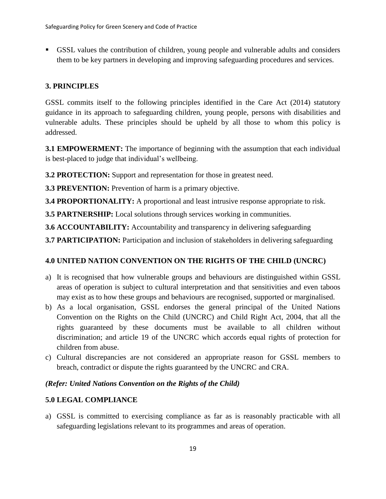▪ GSSL values the contribution of children, young people and vulnerable adults and considers them to be key partners in developing and improving safeguarding procedures and services.

# **3. PRINCIPLES**

GSSL commits itself to the following principles identified in the Care Act (2014) statutory guidance in its approach to safeguarding children, young people, persons with disabilities and vulnerable adults. These principles should be upheld by all those to whom this policy is addressed.

**3.1 EMPOWERMENT:** The importance of beginning with the assumption that each individual is best-placed to judge that individual's wellbeing.

**3.2 PROTECTION:** Support and representation for those in greatest need.

**3.3 PREVENTION:** Prevention of harm is a primary objective.

**3.4 PROPORTIONALITY:** A proportional and least intrusive response appropriate to risk.

**3.5 PARTNERSHIP:** Local solutions through services working in communities.

**3.6 ACCOUNTABILITY:** Accountability and transparency in delivering safeguarding

**3.7 PARTICIPATION:** Participation and inclusion of stakeholders in delivering safeguarding

# **4.0 UNITED NATION CONVENTION ON THE RIGHTS OF THE CHILD (UNCRC)**

- a) It is recognised that how vulnerable groups and behaviours are distinguished within GSSL areas of operation is subject to cultural interpretation and that sensitivities and even taboos may exist as to how these groups and behaviours are recognised, supported or marginalised.
- b) As a local organisation, GSSL endorses the general principal of the United Nations Convention on the Rights on the Child (UNCRC) and Child Right Act, 2004, that all the rights guaranteed by these documents must be available to all children without discrimination; and article 19 of the UNCRC which accords equal rights of protection for children from abuse.
- c) Cultural discrepancies are not considered an appropriate reason for GSSL members to breach, contradict or dispute the rights guaranteed by the UNCRC and CRA.

### *(Refer: United Nations Convention on the Rights of the Child)*

### **5.0 LEGAL COMPLIANCE**

a) GSSL is committed to exercising compliance as far as is reasonably practicable with all safeguarding legislations relevant to its programmes and areas of operation.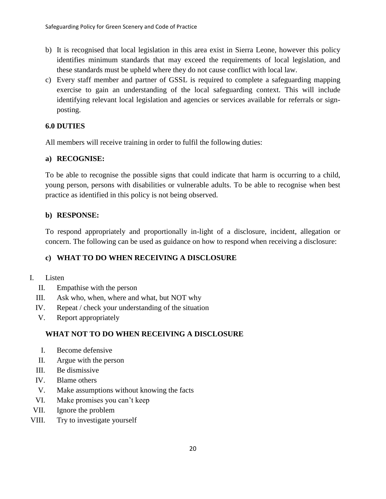- b) It is recognised that local legislation in this area exist in Sierra Leone, however this policy identifies minimum standards that may exceed the requirements of local legislation, and these standards must be upheld where they do not cause conflict with local law.
- c) Every staff member and partner of GSSL is required to complete a safeguarding mapping exercise to gain an understanding of the local safeguarding context. This will include identifying relevant local legislation and agencies or services available for referrals or signposting.

# **6.0 DUTIES**

All members will receive training in order to fulfil the following duties:

### **a) RECOGNISE:**

To be able to recognise the possible signs that could indicate that harm is occurring to a child, young person, persons with disabilities or vulnerable adults. To be able to recognise when best practice as identified in this policy is not being observed.

# **b) RESPONSE:**

To respond appropriately and proportionally in-light of a disclosure, incident, allegation or concern. The following can be used as guidance on how to respond when receiving a disclosure:

# **c) WHAT TO DO WHEN RECEIVING A DISCLOSURE**

- I. Listen
	- II. Empathise with the person
	- III. Ask who, when, where and what, but NOT why
	- IV. Repeat / check your understanding of the situation
	- V. Report appropriately

# **WHAT NOT TO DO WHEN RECEIVING A DISCLOSURE**

- I. Become defensive
- II. Argue with the person
- III. Be dismissive
- IV. Blame others
- V. Make assumptions without knowing the facts
- VI. Make promises you can't keep
- VII. Ignore the problem
- VIII. Try to investigate yourself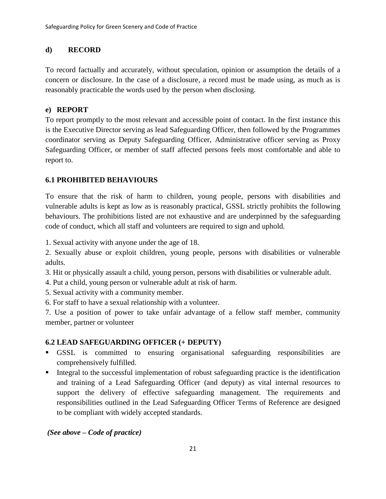### **d) RECORD**

To record factually and accurately, without speculation, opinion or assumption the details of a concern or disclosure. In the case of a disclosure, a record must be made using, as much as is reasonably practicable the words used by the person when disclosing.

### **e) REPORT**

To report promptly to the most relevant and accessible point of contact. In the first instance this is the Executive Director serving as lead Safeguarding Officer, then followed by the Programmes coordinator serving as Deputy Safeguarding Officer, Administrative officer serving as Proxy Safeguarding Officer, or member of staff affected persons feels most comfortable and able to report to.

# **6.1 PROHIBITED BEHAVIOURS**

To ensure that the risk of harm to children, young people, persons with disabilities and vulnerable adults is kept as low as is reasonably practical, GSSL strictly prohibits the following behaviours. The prohibitions listed are not exhaustive and are underpinned by the safeguarding code of conduct, which all staff and volunteers are required to sign and uphold.

1. Sexual activity with anyone under the age of 18.

2. Sexually abuse or exploit children, young people, persons with disabilities or vulnerable adults.

3. Hit or physically assault a child, young person, persons with disabilities or vulnerable adult.

- 4. Put a child, young person or vulnerable adult at risk of harm.
- 5. Sexual activity with a community member.
- 6. For staff to have a sexual relationship with a volunteer.

7. Use a position of power to take unfair advantage of a fellow staff member, community member, partner or volunteer

# **6.2 LEAD SAFEGUARDING OFFICER (+ DEPUTY)**

- GSSL is committed to ensuring organisational safeguarding responsibilities are comprehensively fulfilled.
- **•** Integral to the successful implementation of robust safeguarding practice is the identification and training of a Lead Safeguarding Officer (and deputy) as vital internal resources to support the delivery of effective safeguarding management. The requirements and responsibilities outlined in the Lead Safeguarding Officer Terms of Reference are designed to be compliant with widely accepted standards.

*(See above – Code of practice)*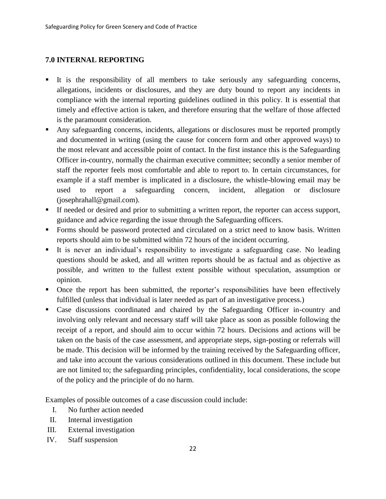### **7.0 INTERNAL REPORTING**

- It is the responsibility of all members to take seriously any safeguarding concerns, allegations, incidents or disclosures, and they are duty bound to report any incidents in compliance with the internal reporting guidelines outlined in this policy. It is essential that timely and effective action is taken, and therefore ensuring that the welfare of those affected is the paramount consideration.
- Any safeguarding concerns, incidents, allegations or disclosures must be reported promptly and documented in writing (using the cause for concern form and other approved ways) to the most relevant and accessible point of contact. In the first instance this is the Safeguarding Officer in-country, normally the chairman executive committee; secondly a senior member of staff the reporter feels most comfortable and able to report to. In certain circumstances, for example if a staff member is implicated in a disclosure, the whistle-blowing email may be used to report a safeguarding concern, incident, allegation or disclosure (josephrahall@gmail.com).
- If needed or desired and prior to submitting a written report, the reporter can access support, guidance and advice regarding the issue through the Safeguarding officers.
- Forms should be password protected and circulated on a strict need to know basis. Written reports should aim to be submitted within 72 hours of the incident occurring.
- It is never an individual's responsibility to investigate a safeguarding case. No leading questions should be asked, and all written reports should be as factual and as objective as possible, and written to the fullest extent possible without speculation, assumption or opinion.
- Once the report has been submitted, the reporter's responsibilities have been effectively fulfilled (unless that individual is later needed as part of an investigative process.)
- Case discussions coordinated and chaired by the Safeguarding Officer in-country and involving only relevant and necessary staff will take place as soon as possible following the receipt of a report, and should aim to occur within 72 hours. Decisions and actions will be taken on the basis of the case assessment, and appropriate steps, sign-posting or referrals will be made. This decision will be informed by the training received by the Safeguarding officer, and take into account the various considerations outlined in this document. These include but are not limited to; the safeguarding principles, confidentiality, local considerations, the scope of the policy and the principle of do no harm.

Examples of possible outcomes of a case discussion could include:

- I. No further action needed
- II. Internal investigation
- III. External investigation
- IV. Staff suspension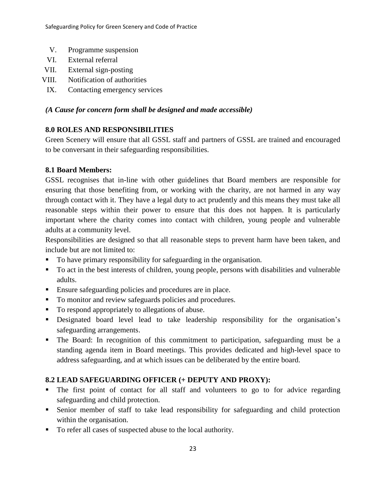- V. Programme suspension
- VI. External referral
- VII. External sign-posting
- VIII. Notification of authorities
- IX. Contacting emergency services

# *(A Cause for concern form shall be designed and made accessible)*

# **8.0 ROLES AND RESPONSIBILITIES**

Green Scenery will ensure that all GSSL staff and partners of GSSL are trained and encouraged to be conversant in their safeguarding responsibilities.

# **8.1 Board Members:**

GSSL recognises that in-line with other guidelines that Board members are responsible for ensuring that those benefiting from, or working with the charity, are not harmed in any way through contact with it. They have a legal duty to act prudently and this means they must take all reasonable steps within their power to ensure that this does not happen. It is particularly important where the charity comes into contact with children, young people and vulnerable adults at a community level.

Responsibilities are designed so that all reasonable steps to prevent harm have been taken, and include but are not limited to:

- To have primary responsibility for safeguarding in the organisation.
- To act in the best interests of children, young people, persons with disabilities and vulnerable adults.
- Ensure safeguarding policies and procedures are in place.
- To monitor and review safeguards policies and procedures.
- To respond appropriately to allegations of abuse.
- Designated board level lead to take leadership responsibility for the organisation's safeguarding arrangements.
- The Board: In recognition of this commitment to participation, safeguarding must be a standing agenda item in Board meetings. This provides dedicated and high-level space to address safeguarding, and at which issues can be deliberated by the entire board.

# **8.2 LEAD SAFEGUARDING OFFICER (+ DEPUTY AND PROXY):**

- The first point of contact for all staff and volunteers to go to for advice regarding safeguarding and child protection.
- Senior member of staff to take lead responsibility for safeguarding and child protection within the organisation.
- To refer all cases of suspected abuse to the local authority.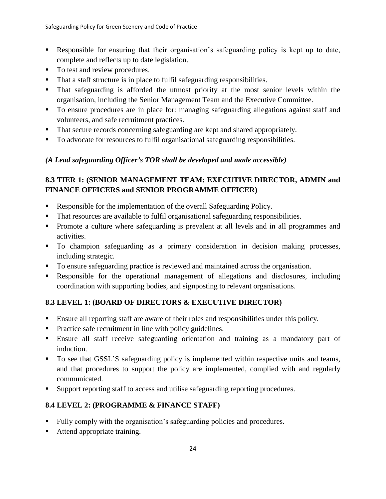- Responsible for ensuring that their organisation's safeguarding policy is kept up to date, complete and reflects up to date legislation.
- To test and review procedures.
- That a staff structure is in place to fulfil safeguarding responsibilities.
- That safeguarding is afforded the utmost priority at the most senior levels within the organisation, including the Senior Management Team and the Executive Committee.
- To ensure procedures are in place for: managing safeguarding allegations against staff and volunteers, and safe recruitment practices.
- That secure records concerning safeguarding are kept and shared appropriately.
- To advocate for resources to fulfil organisational safeguarding responsibilities.

# *(A Lead safeguarding Officer's TOR shall be developed and made accessible)*

# **8.3 TIER 1: (SENIOR MANAGEMENT TEAM: EXECUTIVE DIRECTOR, ADMIN and FINANCE OFFICERS and SENIOR PROGRAMME OFFICER)**

- Responsible for the implementation of the overall Safeguarding Policy.
- That resources are available to fulfil organisational safeguarding responsibilities.
- **•** Promote a culture where safeguarding is prevalent at all levels and in all programmes and activities.
- To champion safeguarding as a primary consideration in decision making processes, including strategic.
- To ensure safeguarding practice is reviewed and maintained across the organisation.
- Responsible for the operational management of allegations and disclosures, including coordination with supporting bodies, and signposting to relevant organisations.

# **8.3 LEVEL 1: (BOARD OF DIRECTORS & EXECUTIVE DIRECTOR)**

- Ensure all reporting staff are aware of their roles and responsibilities under this policy.
- Practice safe recruitment in line with policy guidelines.
- **Ensure all staff receive safeguarding orientation and training as a mandatory part of** induction.
- To see that GSSL'S safeguarding policy is implemented within respective units and teams, and that procedures to support the policy are implemented, complied with and regularly communicated.
- Support reporting staff to access and utilise safeguarding reporting procedures.

# **8.4 LEVEL 2: (PROGRAMME & FINANCE STAFF)**

- Fully comply with the organisation's safeguarding policies and procedures.
- Attend appropriate training.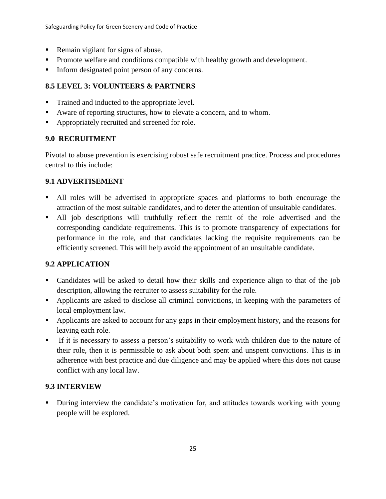- Remain vigilant for signs of abuse.
- Promote welfare and conditions compatible with healthy growth and development.
- **IFFORE 1** Inform designated point person of any concerns.

# **8.5 LEVEL 3: VOLUNTEERS & PARTNERS**

- Trained and inducted to the appropriate level.
- Aware of reporting structures, how to elevate a concern, and to whom.
- Appropriately recruited and screened for role.

### **9.0 RECRUITMENT**

Pivotal to abuse prevention is exercising robust safe recruitment practice. Process and procedures central to this include:

### **9.1 ADVERTISEMENT**

- All roles will be advertised in appropriate spaces and platforms to both encourage the attraction of the most suitable candidates, and to deter the attention of unsuitable candidates.
- All job descriptions will truthfully reflect the remit of the role advertised and the corresponding candidate requirements. This is to promote transparency of expectations for performance in the role, and that candidates lacking the requisite requirements can be efficiently screened. This will help avoid the appointment of an unsuitable candidate.

# **9.2 APPLICATION**

- Candidates will be asked to detail how their skills and experience align to that of the job description, allowing the recruiter to assess suitability for the role.
- **•** Applicants are asked to disclose all criminal convictions, in keeping with the parameters of local employment law.
- **•** Applicants are asked to account for any gaps in their employment history, and the reasons for leaving each role.
- If it is necessary to assess a person's suitability to work with children due to the nature of their role, then it is permissible to ask about both spent and unspent convictions. This is in adherence with best practice and due diligence and may be applied where this does not cause conflict with any local law.

# **9.3 INTERVIEW**

During interview the candidate's motivation for, and attitudes towards working with young people will be explored.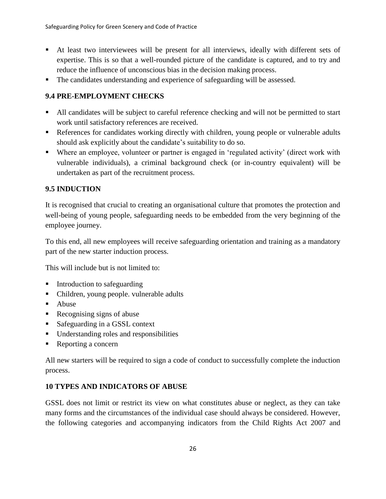- At least two interviewees will be present for all interviews, ideally with different sets of expertise. This is so that a well-rounded picture of the candidate is captured, and to try and reduce the influence of unconscious bias in the decision making process.
- The candidates understanding and experience of safeguarding will be assessed.

# **9.4 PRE-EMPLOYMENT CHECKS**

- All candidates will be subject to careful reference checking and will not be permitted to start work until satisfactory references are received.
- **•** References for candidates working directly with children, young people or vulnerable adults should ask explicitly about the candidate's suitability to do so.
- Where an employee, volunteer or partner is engaged in 'regulated activity' (direct work with vulnerable individuals), a criminal background check (or in-country equivalent) will be undertaken as part of the recruitment process.

# **9.5 INDUCTION**

It is recognised that crucial to creating an organisational culture that promotes the protection and well-being of young people, safeguarding needs to be embedded from the very beginning of the employee journey.

To this end, all new employees will receive safeguarding orientation and training as a mandatory part of the new starter induction process.

This will include but is not limited to:

- **•** Introduction to safeguarding
- Children, young people. vulnerable adults
- Abuse
- Recognising signs of abuse
- Safeguarding in a GSSL context
- Understanding roles and responsibilities
- Reporting a concern

All new starters will be required to sign a code of conduct to successfully complete the induction process.

### **10 TYPES AND INDICATORS OF ABUSE**

GSSL does not limit or restrict its view on what constitutes abuse or neglect, as they can take many forms and the circumstances of the individual case should always be considered. However, the following categories and accompanying indicators from the Child Rights Act 2007 and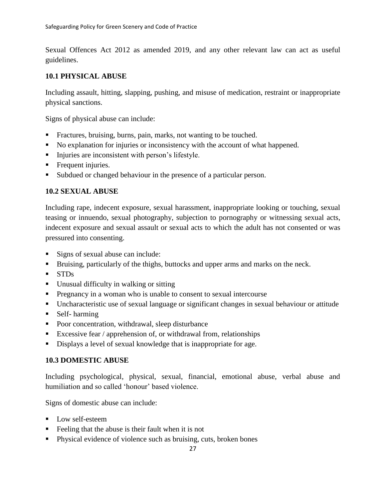Sexual Offences Act 2012 as amended 2019, and any other relevant law can act as useful guidelines.

### **10.1 PHYSICAL ABUSE**

Including assault, hitting, slapping, pushing, and misuse of medication, restraint or inappropriate physical sanctions.

Signs of physical abuse can include:

- Fractures, bruising, burns, pain, marks, not wanting to be touched.
- No explanation for injuries or inconsistency with the account of what happened.
- **•** Injuries are inconsistent with person's lifestyle.
- **•** Frequent injuries.
- Subdued or changed behaviour in the presence of a particular person.

### **10.2 SEXUAL ABUSE**

Including rape, indecent exposure, sexual harassment, inappropriate looking or touching, sexual teasing or innuendo, sexual photography, subjection to pornography or witnessing sexual acts, indecent exposure and sexual assault or sexual acts to which the adult has not consented or was pressured into consenting.

- Signs of sexual abuse can include:
- **EXECUTE:** Bruising, particularly of the thighs, buttocks and upper arms and marks on the neck.
- STDs
- Unusual difficulty in walking or sitting
- **•** Pregnancy in a woman who is unable to consent to sexual intercourse
- Uncharacteristic use of sexual language or significant changes in sexual behaviour or attitude
- Self- harming
- Poor concentration, withdrawal, sleep disturbance
- Excessive fear / apprehension of, or withdrawal from, relationships
- Displays a level of sexual knowledge that is inappropriate for age.

### **10.3 DOMESTIC ABUSE**

Including psychological, physical, sexual, financial, emotional abuse, verbal abuse and humiliation and so called 'honour' based violence.

Signs of domestic abuse can include:

- Low self-esteem
- Feeling that the abuse is their fault when it is not
- **•** Physical evidence of violence such as bruising, cuts, broken bones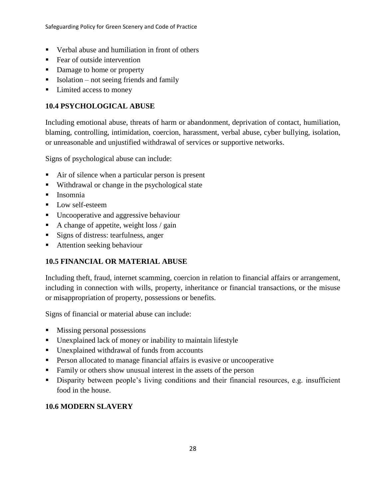- Verbal abuse and humiliation in front of others
- Fear of outside intervention
- Damage to home or property
- $\blacksquare$  Isolation not seeing friends and family
- Limited access to money

# **10.4 PSYCHOLOGICAL ABUSE**

Including emotional abuse, threats of harm or abandonment, deprivation of contact, humiliation, blaming, controlling, intimidation, coercion, harassment, verbal abuse, cyber bullying, isolation, or unreasonable and unjustified withdrawal of services or supportive networks.

Signs of psychological abuse can include:

- Air of silence when a particular person is present
- Withdrawal or change in the psychological state
- Insomnia
- Low self-esteem
- Uncooperative and aggressive behaviour
- A change of appetite, weight loss / gain
- Signs of distress: tearfulness, anger
- Attention seeking behaviour

# **10.5 FINANCIAL OR MATERIAL ABUSE**

Including theft, fraud, internet scamming, coercion in relation to financial affairs or arrangement, including in connection with wills, property, inheritance or financial transactions, or the misuse or misappropriation of property, possessions or benefits.

Signs of financial or material abuse can include:

- Missing personal possessions
- Unexplained lack of money or inability to maintain lifestyle
- Unexplained withdrawal of funds from accounts
- **•** Person allocated to manage financial affairs is evasive or uncooperative
- Family or others show unusual interest in the assets of the person
- Disparity between people's living conditions and their financial resources, e.g. insufficient food in the house.

# **10.6 MODERN SLAVERY**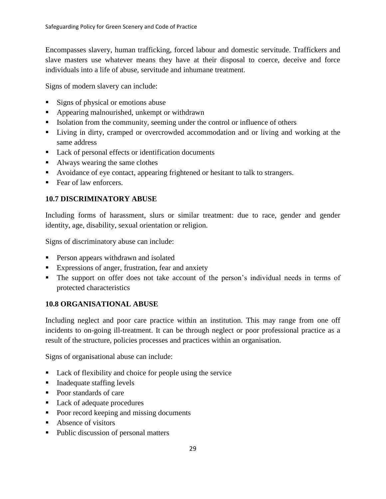Encompasses slavery, human trafficking, forced labour and domestic servitude. Traffickers and slave masters use whatever means they have at their disposal to coerce, deceive and force individuals into a life of abuse, servitude and inhumane treatment.

Signs of modern slavery can include:

- Signs of physical or emotions abuse
- Appearing malnourished, unkempt or withdrawn
- **•** Isolation from the community, seeming under the control or influence of others
- Living in dirty, cramped or overcrowded accommodation and or living and working at the same address
- Lack of personal effects or identification documents
- Always wearing the same clothes
- Avoidance of eye contact, appearing frightened or hesitant to talk to strangers.
- Fear of law enforcers.

### **10.7 DISCRIMINATORY ABUSE**

Including forms of harassment, slurs or similar treatment: due to race, gender and gender identity, age, disability, sexual orientation or religion.

Signs of discriminatory abuse can include:

- **•** Person appears withdrawn and isolated
- Expressions of anger, frustration, fear and anxiety
- The support on offer does not take account of the person's individual needs in terms of protected characteristics

### **10.8 ORGANISATIONAL ABUSE**

Including neglect and poor care practice within an institution. This may range from one off incidents to on-going ill-treatment. It can be through neglect or poor professional practice as a result of the structure, policies processes and practices within an organisation.

Signs of organisational abuse can include:

- Lack of flexibility and choice for people using the service
- Inadequate staffing levels
- Poor standards of care
- Lack of adequate procedures
- Poor record keeping and missing documents
- Absence of visitors
- Public discussion of personal matters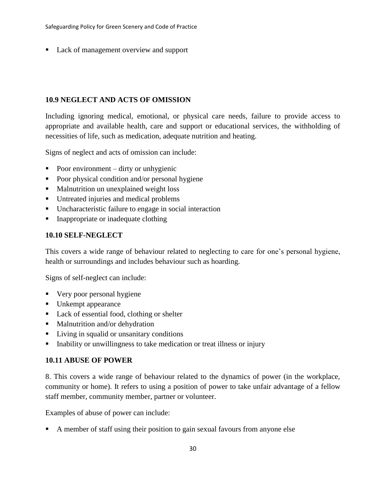Lack of management overview and support

### **10.9 NEGLECT AND ACTS OF OMISSION**

Including ignoring medical, emotional, or physical care needs, failure to provide access to appropriate and available health, care and support or educational services, the withholding of necessities of life, such as medication, adequate nutrition and heating.

Signs of neglect and acts of omission can include:

- Poor environment  $-$  dirty or unhygienic
- Poor physical condition and/or personal hygiene
- Malnutrition un unexplained weight loss
- Untreated injuries and medical problems
- Uncharacteristic failure to engage in social interaction
- Inappropriate or inadequate clothing

### **10.10 SELF-NEGLECT**

This covers a wide range of behaviour related to neglecting to care for one's personal hygiene, health or surroundings and includes behaviour such as hoarding.

Signs of self-neglect can include:

- Very poor personal hygiene
- Unkempt appearance
- Lack of essential food, clothing or shelter
- Malnutrition and/or dehydration
- Living in squalid or unsanitary conditions
- Inability or unwillingness to take medication or treat illness or injury

### **10.11 ABUSE OF POWER**

8. This covers a wide range of behaviour related to the dynamics of power (in the workplace, community or home). It refers to using a position of power to take unfair advantage of a fellow staff member, community member, partner or volunteer.

Examples of abuse of power can include:

A member of staff using their position to gain sexual favours from anyone else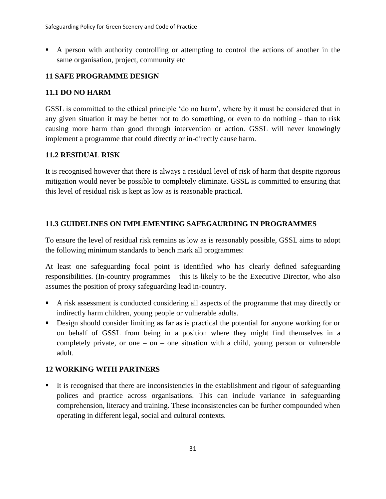A person with authority controlling or attempting to control the actions of another in the same organisation, project, community etc

# **11 SAFE PROGRAMME DESIGN**

# **11.1 DO NO HARM**

GSSL is committed to the ethical principle 'do no harm', where by it must be considered that in any given situation it may be better not to do something, or even to do nothing - than to risk causing more harm than good through intervention or action. GSSL will never knowingly implement a programme that could directly or in-directly cause harm.

# **11.2 RESIDUAL RISK**

It is recognised however that there is always a residual level of risk of harm that despite rigorous mitigation would never be possible to completely eliminate. GSSL is committed to ensuring that this level of residual risk is kept as low as is reasonable practical.

# **11.3 GUIDELINES ON IMPLEMENTING SAFEGAURDING IN PROGRAMMES**

To ensure the level of residual risk remains as low as is reasonably possible, GSSL aims to adopt the following minimum standards to bench mark all programmes:

At least one safeguarding focal point is identified who has clearly defined safeguarding responsibilities. (In-country programmes – this is likely to be the Executive Director, who also assumes the position of proxy safeguarding lead in-country.

- A risk assessment is conducted considering all aspects of the programme that may directly or indirectly harm children, young people or vulnerable adults.
- Design should consider limiting as far as is practical the potential for anyone working for or on behalf of GSSL from being in a position where they might find themselves in a completely private, or one – on – one situation with a child, young person or vulnerable adult.

# **12 WORKING WITH PARTNERS**

It is recognised that there are inconsistencies in the establishment and rigour of safeguarding polices and practice across organisations. This can include variance in safeguarding comprehension, literacy and training. These inconsistencies can be further compounded when operating in different legal, social and cultural contexts.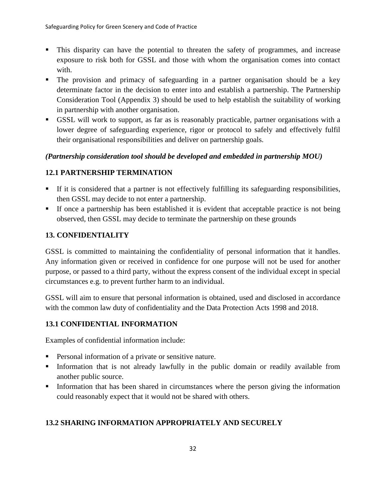- This disparity can have the potential to threaten the safety of programmes, and increase exposure to risk both for GSSL and those with whom the organisation comes into contact with.
- The provision and primacy of safeguarding in a partner organisation should be a key determinate factor in the decision to enter into and establish a partnership. The Partnership Consideration Tool (Appendix 3) should be used to help establish the suitability of working in partnership with another organisation.
- GSSL will work to support, as far as is reasonably practicable, partner organisations with a lower degree of safeguarding experience, rigor or protocol to safely and effectively fulfil their organisational responsibilities and deliver on partnership goals.

### *(Partnership consideration tool should be developed and embedded in partnership MOU)*

# **12.1 PARTNERSHIP TERMINATION**

- If it is considered that a partner is not effectively fulfilling its safeguarding responsibilities, then GSSL may decide to not enter a partnership.
- **•** If once a partnership has been established it is evident that acceptable practice is not being observed, then GSSL may decide to terminate the partnership on these grounds

# **13. CONFIDENTIALITY**

GSSL is committed to maintaining the confidentiality of personal information that it handles. Any information given or received in confidence for one purpose will not be used for another purpose, or passed to a third party, without the express consent of the individual except in special circumstances e.g. to prevent further harm to an individual.

GSSL will aim to ensure that personal information is obtained, used and disclosed in accordance with the common law duty of confidentiality and the Data Protection Acts 1998 and 2018.

# **13.1 CONFIDENTIAL INFORMATION**

Examples of confidential information include:

- Personal information of a private or sensitive nature.
- **•** Information that is not already lawfully in the public domain or readily available from another public source.
- **•** Information that has been shared in circumstances where the person giving the information could reasonably expect that it would not be shared with others.

# **13.2 SHARING INFORMATION APPROPRIATELY AND SECURELY**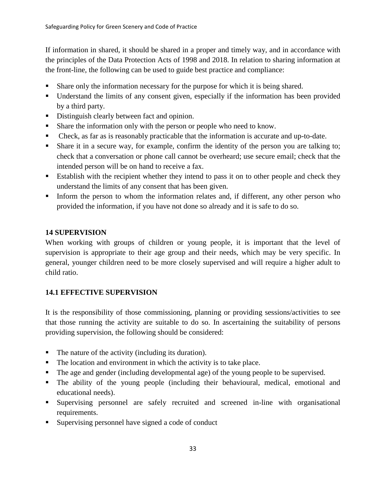If information in shared, it should be shared in a proper and timely way, and in accordance with the principles of the Data Protection Acts of 1998 and 2018. In relation to sharing information at the front-line, the following can be used to guide best practice and compliance:

- Share only the information necessary for the purpose for which it is being shared.
- Understand the limits of any consent given, especially if the information has been provided by a third party.
- Distinguish clearly between fact and opinion.
- Share the information only with the person or people who need to know.
- Check, as far as is reasonably practicable that the information is accurate and up-to-date.
- Share it in a secure way, for example, confirm the identity of the person you are talking to; check that a conversation or phone call cannot be overheard; use secure email; check that the intended person will be on hand to receive a fax.
- Establish with the recipient whether they intend to pass it on to other people and check they understand the limits of any consent that has been given.
- Inform the person to whom the information relates and, if different, any other person who provided the information, if you have not done so already and it is safe to do so.

### **14 SUPERVISION**

When working with groups of children or young people, it is important that the level of supervision is appropriate to their age group and their needs, which may be very specific. In general, younger children need to be more closely supervised and will require a higher adult to child ratio.

# **14.1 EFFECTIVE SUPERVISION**

It is the responsibility of those commissioning, planning or providing sessions/activities to see that those running the activity are suitable to do so. In ascertaining the suitability of persons providing supervision, the following should be considered:

- The nature of the activity (including its duration).
- The location and environment in which the activity is to take place.
- The age and gender (including developmental age) of the young people to be supervised.
- The ability of the young people (including their behavioural, medical, emotional and educational needs).
- Supervising personnel are safely recruited and screened in-line with organisational requirements.
- Supervising personnel have signed a code of conduct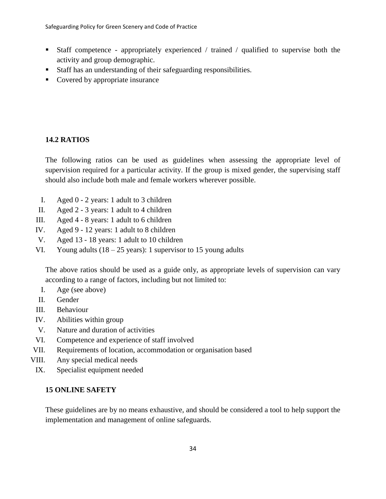- Staff competence appropriately experienced / trained / qualified to supervise both the activity and group demographic.
- Staff has an understanding of their safeguarding responsibilities.
- Covered by appropriate insurance

# **14.2 RATIOS**

The following ratios can be used as guidelines when assessing the appropriate level of supervision required for a particular activity. If the group is mixed gender, the supervising staff should also include both male and female workers wherever possible.

- I. Aged 0 2 years: 1 adult to 3 children
- II. Aged 2 3 years: 1 adult to 4 children
- III. Aged 4 8 years: 1 adult to 6 children
- IV. Aged 9 12 years: 1 adult to 8 children
- V. Aged 13 18 years: 1 adult to 10 children
- VI. Young adults  $(18 25 \text{ years})$ : 1 supervisor to 15 young adults

The above ratios should be used as a guide only, as appropriate levels of supervision can vary according to a range of factors, including but not limited to:

- I. Age (see above)
- II. Gender
- III. Behaviour
- IV. Abilities within group
- V. Nature and duration of activities
- VI. Competence and experience of staff involved
- VII. Requirements of location, accommodation or organisation based
- VIII. Any special medical needs
- IX. Specialist equipment needed

### **15 ONLINE SAFETY**

These guidelines are by no means exhaustive, and should be considered a tool to help support the implementation and management of online safeguards.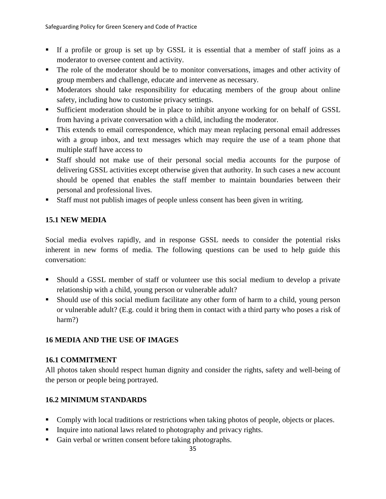- If a profile or group is set up by GSSL it is essential that a member of staff joins as a moderator to oversee content and activity.
- The role of the moderator should be to monitor conversations, images and other activity of group members and challenge, educate and intervene as necessary.
- **■** Moderators should take responsibility for educating members of the group about online safety, including how to customise privacy settings.
- **EXECUTE:** Sufficient moderation should be in place to inhibit anyone working for on behalf of GSSL from having a private conversation with a child, including the moderator.
- **•** This extends to email correspondence, which may mean replacing personal email addresses with a group inbox, and text messages which may require the use of a team phone that multiple staff have access to
- Staff should not make use of their personal social media accounts for the purpose of delivering GSSL activities except otherwise given that authority. In such cases a new account should be opened that enables the staff member to maintain boundaries between their personal and professional lives.
- Staff must not publish images of people unless consent has been given in writing.

# **15.1 NEW MEDIA**

Social media evolves rapidly, and in response GSSL needs to consider the potential risks inherent in new forms of media. The following questions can be used to help guide this conversation:

- Should a GSSL member of staff or volunteer use this social medium to develop a private relationship with a child, young person or vulnerable adult?
- Should use of this social medium facilitate any other form of harm to a child, young person or vulnerable adult? (E.g. could it bring them in contact with a third party who poses a risk of harm?)

# **16 MEDIA AND THE USE OF IMAGES**

# **16.1 COMMITMENT**

All photos taken should respect human dignity and consider the rights, safety and well-being of the person or people being portrayed.

# **16.2 MINIMUM STANDARDS**

- **Comply with local traditions or restrictions when taking photos of people, objects or places.**
- **•** Inquire into national laws related to photography and privacy rights.
- Gain verbal or written consent before taking photographs.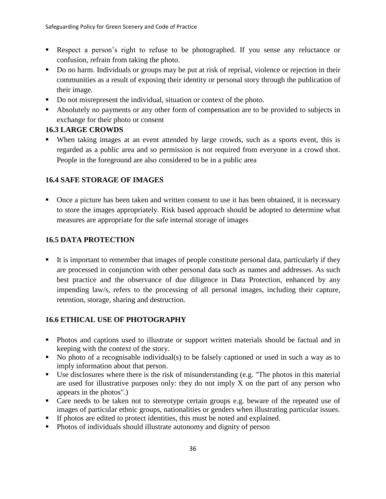- Respect a person's right to refuse to be photographed. If you sense any reluctance or confusion, refrain from taking the photo.
- Do no harm. Individuals or groups may be put at risk of reprisal, violence or rejection in their communities as a result of exposing their identity or personal story through the publication of their image.
- Do not misrepresent the individual, situation or context of the photo.
- Absolutely no payments or any other form of compensation are to be provided to subjects in exchange for their photo or consent

### **16.3 LARGE CROWDS**

When taking images at an event attended by large crowds, such as a sports event, this is regarded as a public area and so permission is not required from everyone in a crowd shot. People in the foreground are also considered to be in a public area

# **16.4 SAFE STORAGE OF IMAGES**

■ Once a picture has been taken and written consent to use it has been obtained, it is necessary to store the images appropriately. Risk based approach should be adopted to determine what measures are appropriate for the safe internal storage of images

# **16.5 DATA PROTECTION**

■ It is important to remember that images of people constitute personal data, particularly if they are processed in conjunction with other personal data such as names and addresses. As such best practice and the observance of due diligence in Data Protection, enhanced by any impending law/s, refers to the processing of all personal images, including their capture, retention, storage, sharing and destruction.

# **16.6 ETHICAL USE OF PHOTOGRAPHY**

- Photos and captions used to illustrate or support written materials should be factual and in keeping with the context of the story.
- No photo of a recognisable individual(s) to be falsely captioned or used in such a way as to imply information about that person.
- Use disclosures where there is the risk of misunderstanding (e.g. "The photos in this material are used for illustrative purposes only: they do not imply X on the part of any person who appears in the photos".)
- Care needs to be taken not to stereotype certain groups e.g. beware of the repeated use of images of particular ethnic groups, nationalities or genders when illustrating particular issues.
- If photos are edited to protect identities, this must be noted and explained.
- Photos of individuals should illustrate autonomy and dignity of person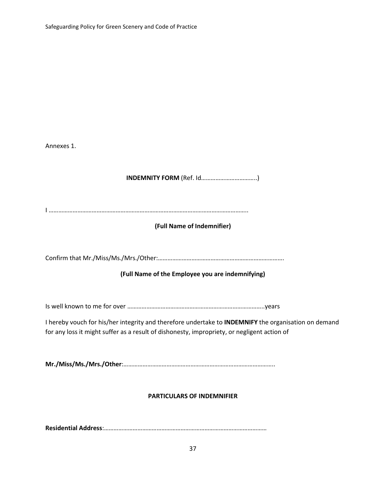| Annexes 1.                                                                                                                                                                                          |
|-----------------------------------------------------------------------------------------------------------------------------------------------------------------------------------------------------|
|                                                                                                                                                                                                     |
|                                                                                                                                                                                                     |
| (Full Name of Indemnifier)                                                                                                                                                                          |
|                                                                                                                                                                                                     |
| (Full Name of the Employee you are indemnifying)                                                                                                                                                    |
|                                                                                                                                                                                                     |
| I hereby vouch for his/her integrity and therefore undertake to INDEMNIFY the organisation on demand<br>for any loss it might suffer as a result of dishonesty, impropriety, or negligent action of |
|                                                                                                                                                                                                     |
| <b>PARTICULARS OF INDEMNIFIER</b>                                                                                                                                                                   |
|                                                                                                                                                                                                     |